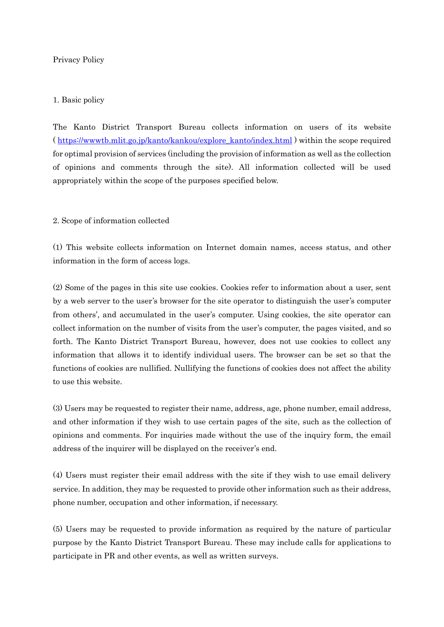# Privacy Policy

## 1. Basic policy

The Kanto District Transport Bureau collects information on users of its website ( [https://wwwtb.mlit.go.jp/kanto/kankou/explore\\_kanto/index.html](https://wwwtb.mlit.go.jp/kanto/kankou/explore_kanto/index.html) ) within the scope required for optimal provision of services (including the provision of information as well as the collection of opinions and comments through the site). All information collected will be used appropriately within the scope of the purposes specified below.

#### 2. Scope of information collected

(1) This website collects information on Internet domain names, access status, and other information in the form of access logs.

(2) Some of the pages in this site use cookies. Cookies refer to information about a user, sent by a web server to the user's browser for the site operator to distinguish the user's computer from others', and accumulated in the user's computer. Using cookies, the site operator can collect information on the number of visits from the user's computer, the pages visited, and so forth. The Kanto District Transport Bureau, however, does not use cookies to collect any information that allows it to identify individual users. The browser can be set so that the functions of cookies are nullified. Nullifying the functions of cookies does not affect the ability to use this website.

(3) Users may be requested to register their name, address, age, phone number, email address, and other information if they wish to use certain pages of the site, such as the collection of opinions and comments. For inquiries made without the use of the inquiry form, the email address of the inquirer will be displayed on the receiver's end.

(4) Users must register their email address with the site if they wish to use email delivery service. In addition, they may be requested to provide other information such as their address, phone number, occupation and other information, if necessary.

(5) Users may be requested to provide information as required by the nature of particular purpose by the Kanto District Transport Bureau. These may include calls for applications to participate in PR and other events, as well as written surveys.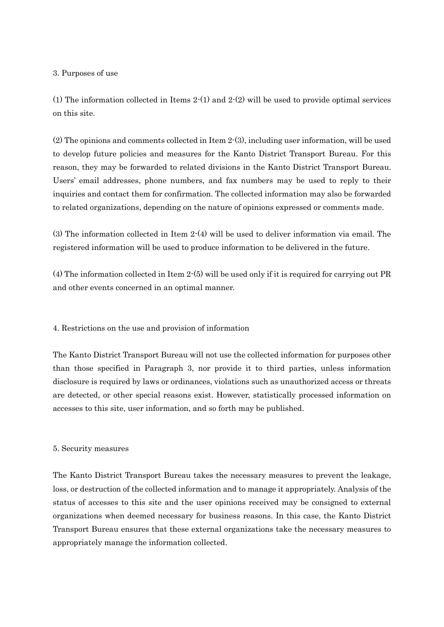#### 3. Purposes of use

(1) The information collected in Items 2-(1) and 2-(2) will be used to provide optimal services on this site.

(2) The opinions and comments collected in Item 2-(3), including user information, will be used to develop future policies and measures for the Kanto District Transport Bureau. For this reason, they may be forwarded to related divisions in the Kanto District Transport Bureau. Users' email addresses, phone numbers, and fax numbers may be used to reply to their inquiries and contact them for confirmation. The collected information may also be forwarded to related organizations, depending on the nature of opinions expressed or comments made.

(3) The information collected in Item 2-(4) will be used to deliver information via email. The registered information will be used to produce information to be delivered in the future.

(4) The information collected in Item 2-(5) will be used only if it is required for carrying out PR and other events concerned in an optimal manner.

4. Restrictions on the use and provision of information

The Kanto District Transport Bureau will not use the collected information for purposes other than those specified in Paragraph 3, nor provide it to third parties, unless information disclosure is required by laws or ordinances, violations such as unauthorized access or threats are detected, or other special reasons exist. However, statistically processed information on accesses to this site, user information, and so forth may be published.

## 5. Security measures

The Kanto District Transport Bureau takes the necessary measures to prevent the leakage, loss, or destruction of the collected information and to manage it appropriately. Analysis of the status of accesses to this site and the user opinions received may be consigned to external organizations when deemed necessary for business reasons. In this case, the Kanto District Transport Bureau ensures that these external organizations take the necessary measures to appropriately manage the information collected.